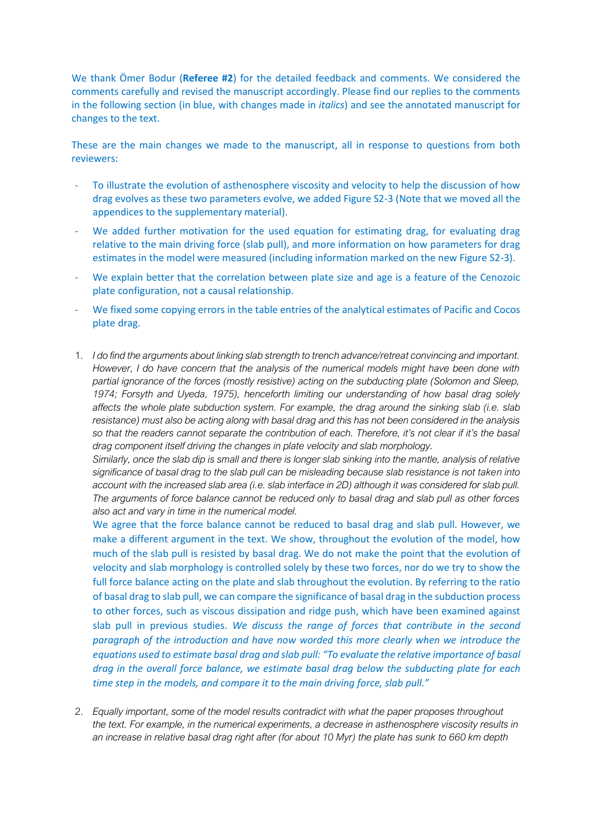We thank Ömer Bodur (**Referee #2**) for the detailed feedback and comments. We considered the comments carefully and revised the manuscript accordingly. Please find our replies to the comments in the following section (in blue, with changes made in *italics*) and see the annotated manuscript for changes to the text.

These are the main changes we made to the manuscript, all in response to questions from both reviewers:

- To illustrate the evolution of asthenosphere viscosity and velocity to help the discussion of how drag evolves as these two parameters evolve, we added Figure S2-3 (Note that we moved all the appendices to the supplementary material).
- We added further motivation for the used equation for estimating drag, for evaluating drag relative to the main driving force (slab pull), and more information on how parameters for drag estimates in the model were measured (including information marked on the new Figure S2-3).
- We explain better that the correlation between plate size and age is a feature of the Cenozoic plate configuration, not a causal relationship.
- We fixed some copying errors in the table entries of the analytical estimates of Pacific and Cocos plate drag.
- 1. *I do find the arguments about linking slab strength to trench advance/retreat convincing and important. However, I do have concern that the analysis of the numerical models might have been done with partial ignorance of the forces (mostly resistive) acting on the subducting plate (Solomon and Sleep, 1974; Forsyth and Uyeda, 1975), henceforth limiting our understanding of how basal drag solely affects the whole plate subduction system. For example, the drag around the sinking slab (i.e. slab resistance) must also be acting along with basal drag and this has not been considered in the analysis so that the readers cannot separate the contribution of each. Therefore, it's not clear if it's the basal drag component itself driving the changes in plate velocity and slab morphology.*

*Similarly, once the slab dip is small and there is longer slab sinking into the mantle, analysis of relative significance of basal drag to the slab pull can be misleading because slab resistance is not taken into account with the increased slab area (i.e. slab interface in 2D) although it was considered for slab pull. The arguments of force balance cannot be reduced only to basal drag and slab pull as other forces also act and vary in time in the numerical model.*

We agree that the force balance cannot be reduced to basal drag and slab pull. However, we make a different argument in the text. We show, throughout the evolution of the model, how much of the slab pull is resisted by basal drag. We do not make the point that the evolution of velocity and slab morphology is controlled solely by these two forces, nor do we try to show the full force balance acting on the plate and slab throughout the evolution. By referring to the ratio of basal drag to slab pull, we can compare the significance of basal drag in the subduction process to other forces, such as viscous dissipation and ridge push, which have been examined against slab pull in previous studies. *We discuss the range of forces that contribute in the second paragraph of the introduction and have now worded this more clearly when we introduce the equations used to estimate basal drag and slab pull: "To evaluate the relative importance of basal drag in the overall force balance, we estimate basal drag below the subducting plate for each time step in the models, and compare it to the main driving force, slab pull."*

2. *Equally important, some of the model results contradict with what the paper proposes throughout the text. For example, in the numerical experiments, a decrease in asthenosphere viscosity results in an increase in relative basal drag right after (for about 10 Myr) the plate has sunk to 660 km depth*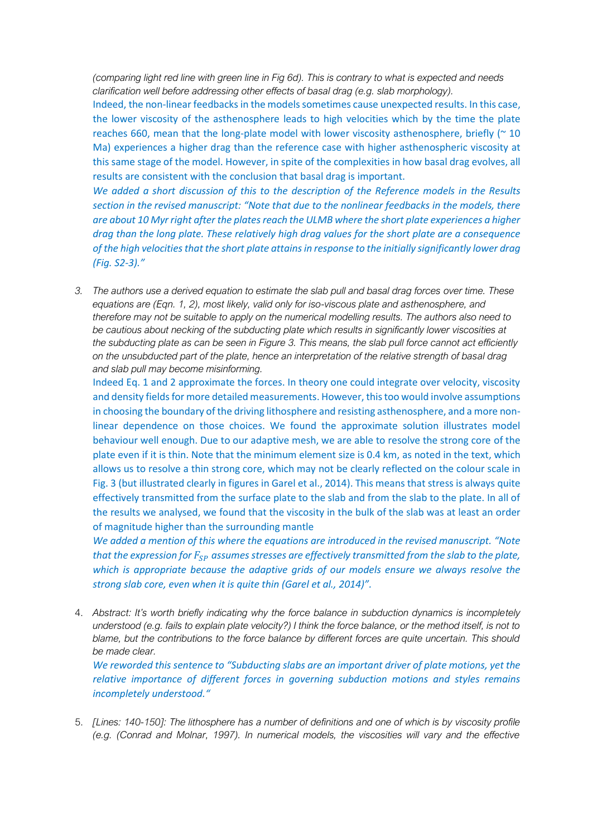*(comparing light red line with green line in Fig 6d). This is contrary to what is expected and needs clarification well before addressing other effects of basal drag (e.g. slab morphology).*

Indeed, the non-linear feedbacks in the models sometimes cause unexpected results. In this case, the lower viscosity of the asthenosphere leads to high velocities which by the time the plate reaches 660, mean that the long-plate model with lower viscosity asthenosphere, briefly ( $\approx$  10 Ma) experiences a higher drag than the reference case with higher asthenospheric viscosity at this same stage of the model. However, in spite of the complexities in how basal drag evolves, all results are consistent with the conclusion that basal drag is important.

*We added a short discussion of this to the description of the Reference models in the Results section in the revised manuscript: "Note that due to the nonlinear feedbacks in the models, there are about 10 Myr right after the plates reach the ULMB where the short plate experiences a higher drag than the long plate. These relatively high drag values for the short plate are a consequence of the high velocities that the short plate attains in response to the initially significantly lower drag (Fig. S2-3)."*

*3. The authors use a derived equation to estimate the slab pull and basal drag forces over time. These equations are (Eqn. 1, 2), most likely, valid only for iso-viscous plate and asthenosphere, and therefore may not be suitable to apply on the numerical modelling results. The authors also need to be cautious about necking of the subducting plate which results in significantly lower viscosities at the subducting plate as can be seen in Figure 3. This means, the slab pull force cannot act efficiently on the unsubducted part of the plate, hence an interpretation of the relative strength of basal drag and slab pull may become misinforming.*

Indeed Eq. 1 and 2 approximate the forces. In theory one could integrate over velocity, viscosity and density fields for more detailed measurements. However, this too would involve assumptions in choosing the boundary of the driving lithosphere and resisting asthenosphere, and a more nonlinear dependence on those choices. We found the approximate solution illustrates model behaviour well enough. Due to our adaptive mesh, we are able to resolve the strong core of the plate even if it is thin. Note that the minimum element size is 0.4 km, as noted in the text, which allows us to resolve a thin strong core, which may not be clearly reflected on the colour scale in Fig. 3 (but illustrated clearly in figures in Garel et al., 2014). This means that stress is always quite effectively transmitted from the surface plate to the slab and from the slab to the plate. In all of the results we analysed, we found that the viscosity in the bulk of the slab was at least an order of magnitude higher than the surrounding mantle

*We added a mention of this where the equations are introduced in the revised manuscript. "Note that the expression for*  $F_{SP}$  *assumes stresses are effectively transmitted from the slab to the plate, which is appropriate because the adaptive grids of our models ensure we always resolve the strong slab core, even when it is quite thin (Garel et al., 2014)".*

4. *Abstract: It's worth briefly indicating why the force balance in subduction dynamics is incompletely understood (e.g. fails to explain plate velocity?) I think the force balance, or the method itself, is not to blame, but the contributions to the force balance by different forces are quite uncertain. This should be made clear.*

*We reworded this sentence to "Subducting slabs are an important driver of plate motions, yet the relative importance of different forces in governing subduction motions and styles remains incompletely understood."* 

5. *[Lines: 140-150]: The lithosphere has a number of definitions and one of which is by viscosity profile (e.g. (Conrad and Molnar, 1997). In numerical models, the viscosities will vary and the effective*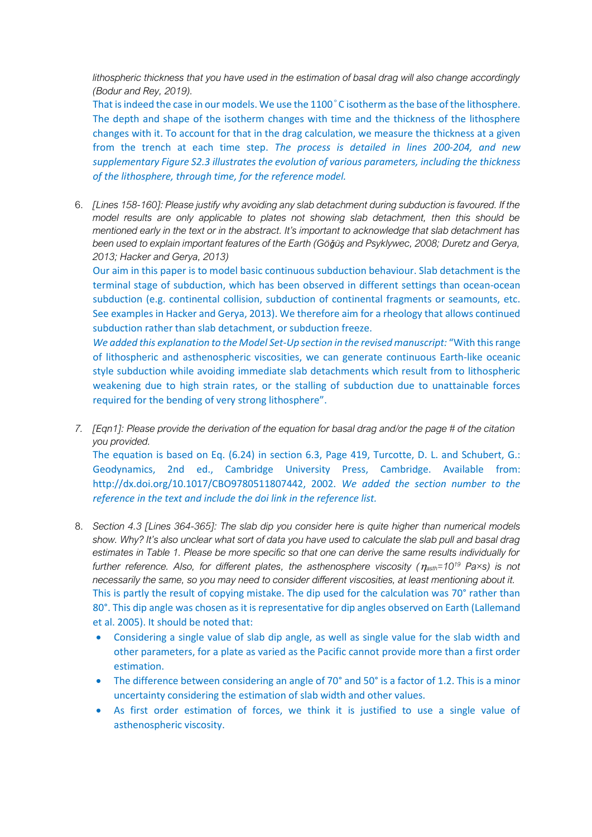*lithospheric thickness that you have used in the estimation of basal drag will also change accordingly (Bodur and Rey, 2019).*

That is indeed the case in our models. We use the 1100°C isotherm as the base of the lithosphere. The depth and shape of the isotherm changes with time and the thickness of the lithosphere changes with it. To account for that in the drag calculation, we measure the thickness at a given from the trench at each time step. *The process is detailed in lines 200-204, and new supplementary Figure S2.3 illustrates the evolution of various parameters, including the thickness of the lithosphere, through time, for the reference model.* 

6. *[Lines 158-160]: Please justify why avoiding any slab detachment during subduction is favoured. If the model results are only applicable to plates not showing slab detachment, then this should be mentioned early in the text or in the abstract. It's important to acknowledge that slab detachment has been used to explain important features of the Earth (Göǧüş and Psyklywec, 2008; Duretz and Gerya, 2013; Hacker and Gerya, 2013)*

Our aim in this paper is to model basic continuous subduction behaviour. Slab detachment is the terminal stage of subduction, which has been observed in different settings than ocean-ocean subduction (e.g. continental collision, subduction of continental fragments or seamounts, etc. See examples in Hacker and Gerya, 2013). We therefore aim for a rheology that allows continued subduction rather than slab detachment, or subduction freeze.

*We added this explanation to the Model Set-Up section in the revised manuscript:* "With this range of lithospheric and asthenospheric viscosities, we can generate continuous Earth-like oceanic style subduction while avoiding immediate slab detachments which result from to lithospheric weakening due to high strain rates, or the stalling of subduction due to unattainable forces required for the bending of very strong lithosphere".

*7. [Eqn1]: Please provide the derivation of the equation for basal drag and/or the page # of the citation you provided.*

The equation is based on Eq. (6.24) in section 6.3, Page 419, Turcotte, D. L. and Schubert, G.: Geodynamics, 2nd ed., Cambridge University Press, Cambridge. Available from: http://dx.doi.org/10.1017/CBO9780511807442, 2002. *We added the section number to the reference in the text and include the doi link in the reference list.*

- 8. *Section 4.3 [Lines 364-365]: The slab dip you consider here is quite higher than numerical models show. Why? It's also unclear what sort of data you have used to calculate the slab pull and basal drag estimates in Table 1. Please be more specific so that one can derive the same results individually for further reference. Also, for different plates, the asthenosphere viscosity (asth=10<sup>19</sup> Pa×s) is not necessarily the same, so you may need to consider different viscosities, at least mentioning about it.* This is partly the result of copying mistake. The dip used for the calculation was 70° rather than 80°. This dip angle was chosen as it is representative for dip angles observed on Earth (Lallemand et al. 2005). It should be noted that:
	- Considering a single value of slab dip angle, as well as single value for the slab width and other parameters, for a plate as varied as the Pacific cannot provide more than a first order estimation.
	- The difference between considering an angle of 70° and 50° is a factor of 1.2. This is a minor uncertainty considering the estimation of slab width and other values.
	- As first order estimation of forces, we think it is justified to use a single value of asthenospheric viscosity.